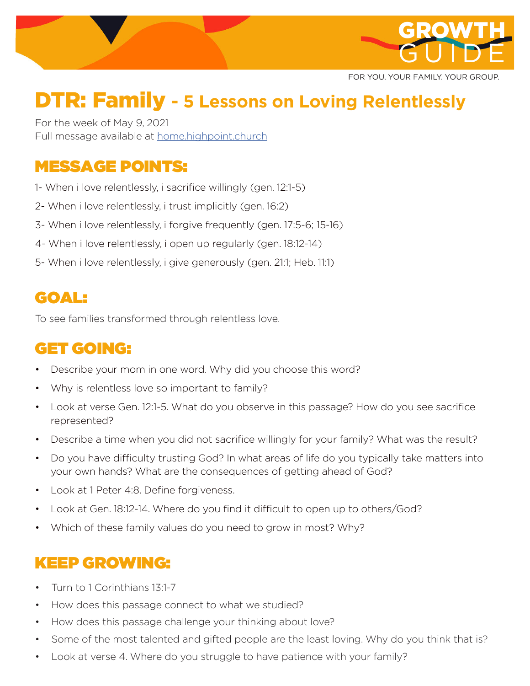

FOR YOU. YOUR FAMILY. YOUR GROUP.

# DTR: Family **- 5 Lessons on Loving Relentlessly**

For the week of May 9, 2021 Full message available at home.highpoint.church

## MESSAGE POINTS:

- 1- When i love relentlessly, i sacrifice willingly (gen. 12:1-5)
- 2- When i love relentlessly, i trust implicitly (gen. 16:2)
- 3- When i love relentlessly, i forgive frequently (gen. 17:5-6; 15-16)
- 4- When i love relentlessly, i open up regularly (gen. 18:12-14)
- 5- When i love relentlessly, i give generously (gen. 21:1; Heb. 11:1)

### GOAL:

To see families transformed through relentless love.

### GET GOING:

- Describe your mom in one word. Why did you choose this word?
- Why is relentless love so important to family?
- Look at verse Gen. 12:1-5. What do you observe in this passage? How do you see sacrifice represented?
- Describe a time when you did not sacrifice willingly for your family? What was the result?
- Do you have difficulty trusting God? In what areas of life do you typically take matters into your own hands? What are the consequences of getting ahead of God?
- Look at 1 Peter 4:8. Define forgiveness.
- Look at Gen. 18:12-14. Where do you find it difficult to open up to others/God?
- Which of these family values do you need to grow in most? Why?

### KEEP GROWING:

- Turn to 1 Corinthians 13:1-7
- How does this passage connect to what we studied?
- How does this passage challenge your thinking about love?
- Some of the most talented and gifted people are the least loving. Why do you think that is?
- Look at verse 4. Where do you struggle to have patience with your family?